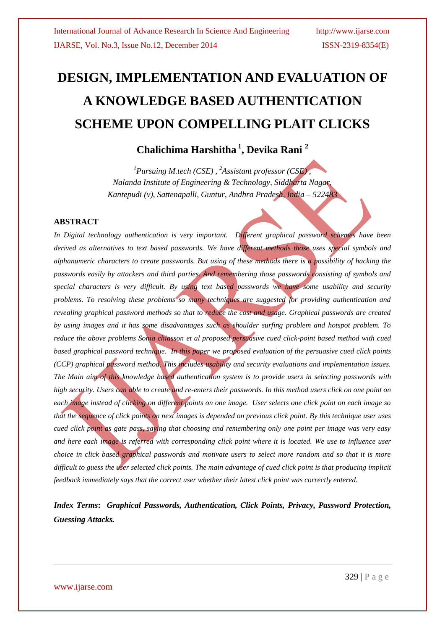# **DESIGN, IMPLEMENTATION AND EVALUATION OF A KNOWLEDGE BASED AUTHENTICATION SCHEME UPON COMPELLING PLAIT CLICKS**

# **Chalichima Harshitha <sup>1</sup> , Devika Rani <sup>2</sup>**

*<sup>1</sup>Pursuing M.tech (CSE) , <sup>2</sup>Assistant professor (CSE) , Nalanda Institute of Engineering & Technology, Siddharta Nagar, Kantepudi (v), Sattenapalli, Guntur, Andhra Pradesh, India – 522483*

### **ABSTRACT**

*In Digital technology authentication is very important. Different graphical password schemes have been derived as alternatives to text based passwords. We have different methods those uses special symbols and alphanumeric characters to create passwords. But using of these methods there is a possibility of hacking the passwords easily by attackers and third parties. And remembering those passwords consisting of symbols and special characters is very difficult. By using text based passwords we have some usability and security problems. To resolving these problems so many techniques are suggested for providing authentication and revealing graphical password methods so that to reduce the cost and usage. Graphical passwords are created by using images and it has some disadvantages such as shoulder surfing problem and hotspot problem. To reduce the above problems Sonia chiasson et al proposed persuasive cued click-point based method with cued based graphical password technique. In this paper we proposed evaluation of the persuasive cued click points (CCP) graphical password method. This includes usability and security evaluations and implementation issues. The Main aim of this knowledge based authentication system is to provide users in selecting passwords with high security. Users can able to create and re-enters their passwords. In this method users click on one point on each image instead of clicking on different points on one image. User selects one click point on each image so that the sequence of click points on next images is depended on previous click point. By this technique user uses cued click point as gate pass, saying that choosing and remembering only one point per image was very easy and here each image is referred with corresponding click point where it is located. We use to influence user choice in click based graphical passwords and motivate users to select more random and so that it is more difficult to guess the user selected click points. The main advantage of cued click point is that producing implicit feedback immediately says that the correct user whether their latest click point was correctly entered.*

*Index Terms***:** *Graphical Passwords, Authentication, Click Points, Privacy, Password Protection, Guessing Attacks.*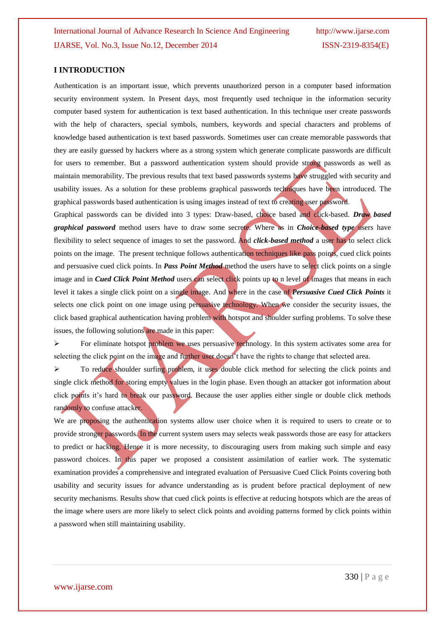### **I INTRODUCTION**

Authentication is an important issue, which prevents unauthorized person in a computer based information security environment system. In Present days, most frequently used technique in the information security computer based system for authentication is text based authentication. In this technique user create passwords with the help of characters, special symbols, numbers, keywords and special characters and problems of knowledge based authentication is text based passwords. Sometimes user can create memorable passwords that they are easily guessed by hackers where as a strong system which generate complicate passwords are difficult for users to remember. But a password authentication system should provide strong passwords as well as maintain memorability. The previous results that text based passwords systems have struggled with security and usability issues. As a solution for these problems graphical passwords techniques have been introduced. The graphical passwords based authentication is using images instead of text to creating user password.

Graphical passwords can be divided into 3 types: Draw-based, choice based and click-based. *Draw based graphical password* method users have to draw some secrete. Where as in *Choice-based type* users have flexibility to select sequence of images to set the password. And *click-based method* a user has to select click points on the image. The present technique follows authentication techniques like pass points, cued click points and persuasive cued click points. In *Pass Point Method* method the users have to select click points on a single image and in *Cued Click Point Method* users can select click points up to n level of images that means in each level it takes a single click point on a single image. And where in the case of *Persuasive Cued Click Points* it selects one click point on one image using persuasive technology. When we consider the security issues, the click based graphical authentication having problem with hotspot and shoulder surfing problems. To solve these issues, the following solutions are made in this paper:

 $\triangleright$  For eliminate hotspot problem we uses persuasive technology. In this system activates some area for selecting the click point on the image and further user doesn"t have the rights to change that selected area.

 $\triangleright$  To reduce shoulder surfing problem, it uses double click method for selecting the click points and single click method for storing empty values in the login phase. Even though an attacker got information about click points it"s hard to break our password. Because the user applies either single or double click methods randomly to confuse attacker.

We are proposing the authentication systems allow user choice when it is required to users to create or to provide stronger passwords. In the current system users may selects weak passwords those are easy for attackers to predict or hacking. Hence it is more necessity, to discouraging users from making such simple and easy password choices. In this paper we proposed a consistent assimilation of earlier work. The systematic examination provides a comprehensive and integrated evaluation of Persuasive Cued Click Points covering both usability and security issues for advance understanding as is prudent before practical deployment of new security mechanisms. Results show that cued click points is effective at reducing hotspots which are the areas of the image where users are more likely to select click points and avoiding patterns formed by click points within a password when still maintaining usability.

www.ijarse.com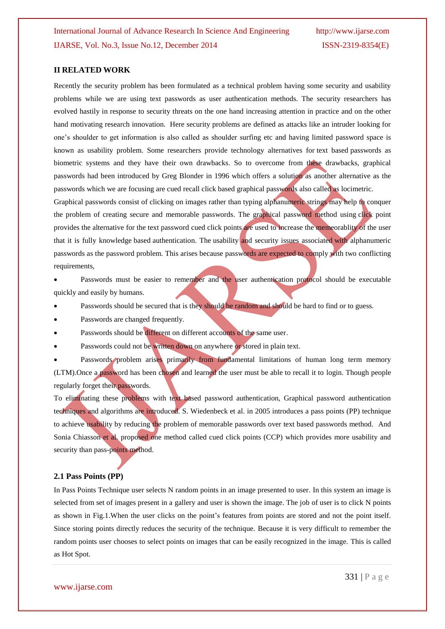### **II RELATED WORK**

Recently the security problem has been formulated as a technical problem having some security and usability problems while we are using text passwords as user authentication methods. The security researchers has evolved hastily in response to security threats on the one hand increasing attention in practice and on the other hand motivating research innovation. Here security problems are defined as attacks like an intruder looking for one"s shoulder to get information is also called as shoulder surfing etc and having limited password space is known as usability problem. Some researchers provide technology alternatives for text based passwords as biometric systems and they have their own drawbacks. So to overcome from these drawbacks, graphical passwords had been introduced by Greg Blonder in 1996 which offers a solution as another alternative as the passwords which we are focusing are cued recall click based graphical passwords also called as locimetric.

Graphical passwords consist of clicking on images rather than typing alphanumeric strings may help to conquer the problem of creating secure and memorable passwords. The graphical password method using click point provides the alternative for the text password cued click points are used to increase the memeorablity of the user that it is fully knowledge based authentication. The usability and security issues associated with alphanumeric passwords as the password problem. This arises because passwords are expected to comply with two conflicting requirements,

 Passwords must be easier to remember and the user authentication protocol should be executable quickly and easily by humans.

- Passwords should be secured that is they should be random and should be hard to find or to guess.
- Passwords are changed frequently.
- Passwords should be different on different accounts of the same user.
- Passwords could not be written down on anywhere or stored in plain text.

Passwords problem arises primarily from fundamental limitations of human long term memory (LTM).Once a password has been chosen and learned the user must be able to recall it to login. Though people regularly forget their passwords.

To eliminating these problems with text based password authentication, Graphical password authentication techniques and algorithms are introduced. S. Wiedenbeck et al. in 2005 introduces a pass points (PP) technique to achieve usability by reducing the problem of memorable passwords over text based passwords method. And Sonia Chiasson et al. proposed one method called cued click points (CCP) which provides more usability and security than pass-points method.

### **2.1 Pass Points (PP)**

In Pass Points Technique user selects N random points in an image presented to user. In this system an image is selected from set of images present in a gallery and user is shown the image. The job of user is to click N points as shown in Fig.1.When the user clicks on the point"s features from points are stored and not the point itself. Since storing points directly reduces the security of the technique. Because it is very difficult to remember the random points user chooses to select points on images that can be easily recognized in the image. This is called as Hot Spot.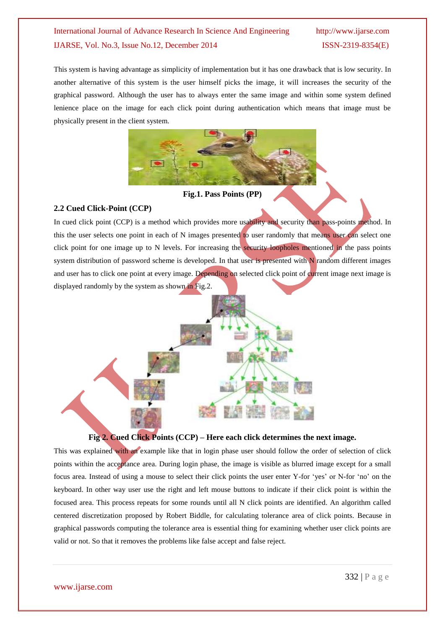This system is having advantage as simplicity of implementation but it has one drawback that is low security. In another alternative of this system is the user himself picks the image, it will increases the security of the graphical password. Although the user has to always enter the same image and within some system defined lenience place on the image for each click point during authentication which means that image must be physically present in the client system.



**Fig.1. Pass Points (PP)**

# **2.2 Cued Click-Point (CCP)**

In cued click point (CCP) is a method which provides more usability and security than pass-points method. In this the user selects one point in each of N images presented to user randomly that means user can select one click point for one image up to N levels. For increasing the security loopholes mentioned in the pass points system distribution of password scheme is developed. In that user is presented with N random different images and user has to click one point at every image. Depending on selected click point of current image next image is displayed randomly by the system as shown in Fig.2.



**Fig 2. Cued Click Points (CCP) – Here each click determines the next image.**

This was explained with an example like that in login phase user should follow the order of selection of click points within the acceptance area. During login phase, the image is visible as blurred image except for a small focus area. Instead of using a mouse to select their click points the user enter Y-for "yes" or N-for "no" on the keyboard. In other way user use the right and left mouse buttons to indicate if their click point is within the focused area. This process repeats for some rounds until all N click points are identified. An algorithm called centered discretization proposed by Robert Biddle, for calculating tolerance area of click points. Because in graphical passwords computing the tolerance area is essential thing for examining whether user click points are valid or not. So that it removes the problems like false accept and false reject.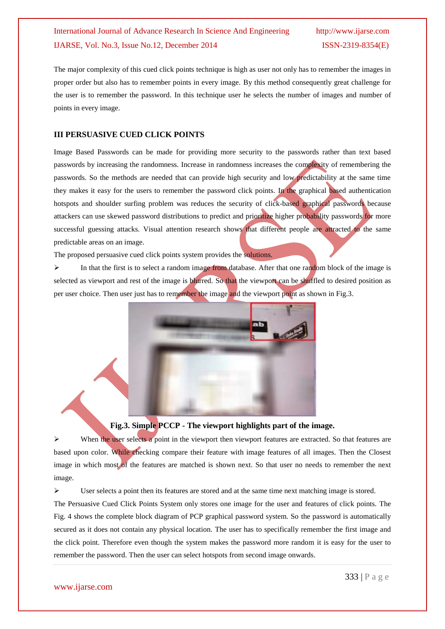The major complexity of this cued click points technique is high as user not only has to remember the images in proper order but also has to remember points in every image. By this method consequently great challenge for the user is to remember the password. In this technique user he selects the number of images and number of points in every image.

# **III PERSUASIVE CUED CLICK POINTS**

Image Based Passwords can be made for providing more security to the passwords rather than text based passwords by increasing the randomness. Increase in randomness increases the complexity of remembering the passwords. So the methods are needed that can provide high security and low predictability at the same time they makes it easy for the users to remember the password click points. In the graphical based authentication hotspots and shoulder surfing problem was reduces the security of click-based graphical passwords because attackers can use skewed password distributions to predict and prioritize higher probability passwords for more successful guessing attacks. Visual attention research shows that different people are attracted to the same predictable areas on an image.

The proposed persuasive cued click points system provides the solutions.

 $\triangleright$  In that the first is to select a random image from database. After that one random block of the image is selected as viewport and rest of the image is blurred. So that the viewport can be shuffled to desired position as per user choice. Then user just has to remember the image and the viewport point as shown in Fig.3.



## **Fig.3. Simple PCCP - The viewport highlights part of the image.**

When the user selects a point in the viewport then viewport features are extracted. So that features are based upon color. While checking compare their feature with image features of all images. Then the Closest image in which most of the features are matched is shown next. So that user no needs to remember the next image.

User selects a point then its features are stored and at the same time next matching image is stored.

The Persuasive Cued Click Points System only stores one image for the user and features of click points. The Fig. 4 shows the complete block diagram of PCP graphical password system. So the password is automatically secured as it does not contain any physical location. The user has to specifically remember the first image and the click point. Therefore even though the system makes the password more random it is easy for the user to remember the password. Then the user can select hotspots from second image onwards.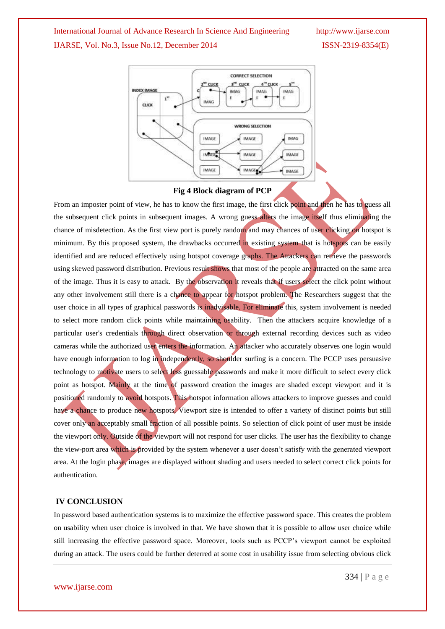

### **Fig 4 Block diagram of PCP**

From an imposter point of view, he has to know the first image, the first click point and then he has to guess all the subsequent click points in subsequent images. A wrong guess alters the image itself thus eliminating the chance of misdetection. As the first view port is purely random and may chances of user clicking on hotspot is minimum. By this proposed system, the drawbacks occurred in existing system that is hotspots can be easily identified and are reduced effectively using hotspot coverage graphs. The Attackers can retrieve the passwords using skewed password distribution. Previous result shows that most of the people are attracted on the same area of the image. Thus it is easy to attack. By the observation it reveals that if users select the click point without any other involvement still there is a chance to appear for hotspot problem. The Researchers suggest that the user choice in all types of graphical passwords is inadvisable. For eliminate this, system involvement is needed to select more random click points while maintaining usability. Then the attackers acquire knowledge of a particular user's credentials through direct observation or through external recording devices such as video cameras while the authorized user enters the information. An attacker who accurately observes one login would have enough information to log in independently, so shoulder surfing is a concern. The PCCP uses persuasive technology to motivate users to select less guessable passwords and make it more difficult to select every click point as hotspot. Mainly at the time of password creation the images are shaded except viewport and it is positioned randomly to avoid hotspots. This hotspot information allows attackers to improve guesses and could have a chance to produce new hotspots. Viewport size is intended to offer a variety of distinct points but still cover only an acceptably small fraction of all possible points. So selection of click point of user must be inside the viewport only. Outside of the viewport will not respond for user clicks. The user has the flexibility to change the view-port area which is provided by the system whenever a user doesn"t satisfy with the generated viewport area. At the login phase, images are displayed without shading and users needed to select correct click points for authentication.

### **IV CONCLUSION**

In password based authentication systems is to maximize the effective password space. This creates the problem on usability when user choice is involved in that. We have shown that it is possible to allow user choice while still increasing the effective password space. Moreover, tools such as PCCP"s viewport cannot be exploited during an attack. The users could be further deterred at some cost in usability issue from selecting obvious click